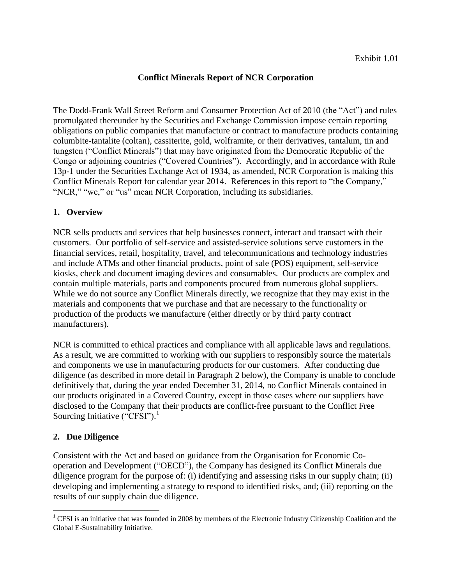## **Conflict Minerals Report of NCR Corporation**

The Dodd-Frank Wall Street Reform and Consumer Protection Act of 2010 (the "Act") and rules promulgated thereunder by the Securities and Exchange Commission impose certain reporting obligations on public companies that manufacture or contract to manufacture products containing columbite-tantalite (coltan), cassiterite, gold, wolframite, or their derivatives, tantalum, tin and tungsten ("Conflict Minerals") that may have originated from the Democratic Republic of the Congo or adjoining countries ("Covered Countries"). Accordingly, and in accordance with Rule 13p-1 under the Securities Exchange Act of 1934, as amended, NCR Corporation is making this Conflict Minerals Report for calendar year 2014. References in this report to "the Company," "NCR," "we," or "us" mean NCR Corporation, including its subsidiaries.

## **1. Overview**

NCR sells products and services that help businesses connect, interact and transact with their customers. Our portfolio of self-service and assisted-service solutions serve customers in the financial services, retail, hospitality, travel, and telecommunications and technology industries and include ATMs and other financial products, point of sale (POS) equipment, self-service kiosks, check and document imaging devices and consumables. Our products are complex and contain multiple materials, parts and components procured from numerous global suppliers. While we do not source any Conflict Minerals directly, we recognize that they may exist in the materials and components that we purchase and that are necessary to the functionality or production of the products we manufacture (either directly or by third party contract manufacturers).

NCR is committed to ethical practices and compliance with all applicable laws and regulations. As a result, we are committed to working with our suppliers to responsibly source the materials and components we use in manufacturing products for our customers. After conducting due diligence (as described in more detail in Paragraph 2 below), the Company is unable to conclude definitively that, during the year ended December 31, 2014, no Conflict Minerals contained in our products originated in a Covered Country, except in those cases where our suppliers have disclosed to the Company that their products are conflict-free pursuant to the Conflict Free Sourcing Initiative ("CFSI").<sup>1</sup>

## **2. Due Diligence**

l

Consistent with the Act and based on guidance from the Organisation for Economic Cooperation and Development ("OECD"), the Company has designed its Conflict Minerals due diligence program for the purpose of: (i) identifying and assessing risks in our supply chain; (ii) developing and implementing a strategy to respond to identified risks, and; (iii) reporting on the results of our supply chain due diligence.

<sup>&</sup>lt;sup>1</sup> CFSI is an initiative that was founded in 2008 by members of the Electronic Industry Citizenship Coalition and the Global E-Sustainability Initiative.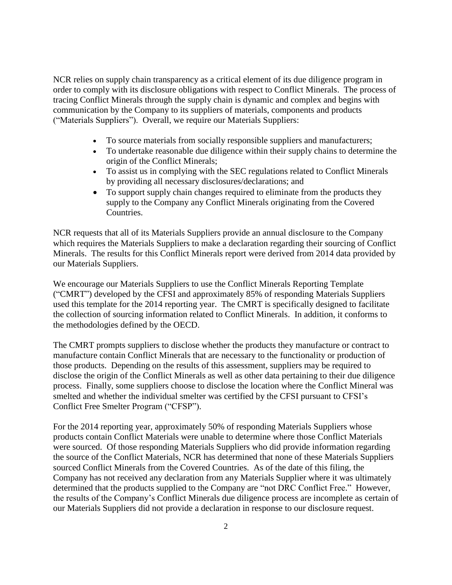NCR relies on supply chain transparency as a critical element of its due diligence program in order to comply with its disclosure obligations with respect to Conflict Minerals. The process of tracing Conflict Minerals through the supply chain is dynamic and complex and begins with communication by the Company to its suppliers of materials, components and products ("Materials Suppliers"). Overall, we require our Materials Suppliers:

- To source materials from socially responsible suppliers and manufacturers;
- To undertake reasonable due diligence within their supply chains to determine the origin of the Conflict Minerals;
- To assist us in complying with the SEC regulations related to Conflict Minerals by providing all necessary disclosures/declarations; and
- To support supply chain changes required to eliminate from the products they supply to the Company any Conflict Minerals originating from the Covered Countries.

NCR requests that all of its Materials Suppliers provide an annual disclosure to the Company which requires the Materials Suppliers to make a declaration regarding their sourcing of Conflict Minerals. The results for this Conflict Minerals report were derived from 2014 data provided by our Materials Suppliers.

We encourage our Materials Suppliers to use the Conflict Minerals Reporting Template ("CMRT") developed by the CFSI and approximately 85% of responding Materials Suppliers used this template for the 2014 reporting year. The CMRT is specifically designed to facilitate the collection of sourcing information related to Conflict Minerals. In addition, it conforms to the methodologies defined by the OECD.

The CMRT prompts suppliers to disclose whether the products they manufacture or contract to manufacture contain Conflict Minerals that are necessary to the functionality or production of those products. Depending on the results of this assessment, suppliers may be required to disclose the origin of the Conflict Minerals as well as other data pertaining to their due diligence process. Finally, some suppliers choose to disclose the location where the Conflict Mineral was smelted and whether the individual smelter was certified by the CFSI pursuant to CFSI's Conflict Free Smelter Program ("CFSP").

For the 2014 reporting year, approximately 50% of responding Materials Suppliers whose products contain Conflict Materials were unable to determine where those Conflict Materials were sourced. Of those responding Materials Suppliers who did provide information regarding the source of the Conflict Materials, NCR has determined that none of these Materials Suppliers sourced Conflict Minerals from the Covered Countries. As of the date of this filing, the Company has not received any declaration from any Materials Supplier where it was ultimately determined that the products supplied to the Company are "not DRC Conflict Free." However, the results of the Company's Conflict Minerals due diligence process are incomplete as certain of our Materials Suppliers did not provide a declaration in response to our disclosure request.